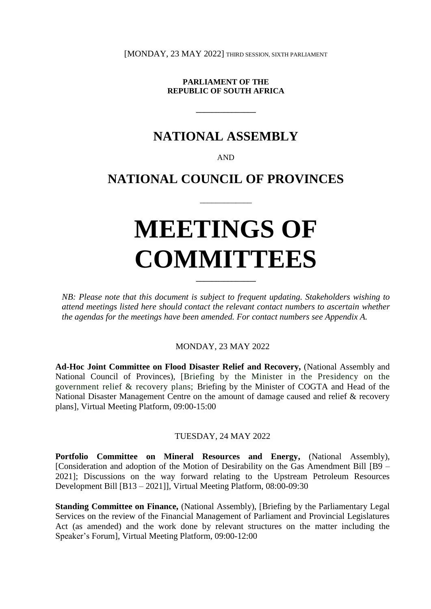[MONDAY, 23 MAY 2022] THIRD SESSION, SIXTH PARLIAMENT

**PARLIAMENT OF THE REPUBLIC OF SOUTH AFRICA**

**\_\_\_\_\_\_\_\_\_\_\_\_\_\_\_**

## **NATIONAL ASSEMBLY**

AND

## **NATIONAL COUNCIL OF PROVINCES**

 $\overline{\phantom{a}}$  , where  $\overline{\phantom{a}}$ 

# **MEETINGS OF COMMITTEES**

*NB: Please note that this document is subject to frequent updating. Stakeholders wishing to attend meetings listed here should contact the relevant contact numbers to ascertain whether the agendas for the meetings have been amended. For contact numbers see Appendix A.*

**\_\_\_\_\_\_\_\_\_\_\_\_\_\_\_**

MONDAY, 23 MAY 2022

**Ad-Hoc Joint Committee on Flood Disaster Relief and Recovery,** (National Assembly and National Council of Provinces), [Briefing by the Minister in the Presidency on the government relief & recovery plans; Briefing by the Minister of COGTA and Head of the National Disaster Management Centre on the amount of damage caused and relief & recovery plans], Virtual Meeting Platform, 09:00-15:00

#### TUESDAY, 24 MAY 2022

**Portfolio Committee on Mineral Resources and Energy,** (National Assembly), [Consideration and adoption of the Motion of Desirability on the Gas Amendment Bill [B9 – 2021]; Discussions on the way forward relating to the Upstream Petroleum Resources Development Bill [B13 – 2021]], Virtual Meeting Platform, 08:00-09:30

**Standing Committee on Finance,** (National Assembly), [Briefing by the Parliamentary Legal Services on the review of the Financial Management of Parliament and Provincial Legislatures Act (as amended) and the work done by relevant structures on the matter including the Speaker's Forum], Virtual Meeting Platform, 09:00-12:00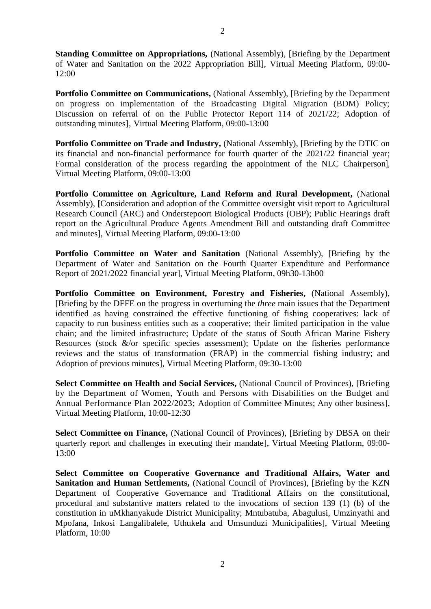**Standing Committee on Appropriations,** (National Assembly), [Briefing by the Department of Water and Sanitation on the 2022 Appropriation Bill], Virtual Meeting Platform, 09:00- 12:00

**Portfolio Committee on Communications, (National Assembly), [Briefing by the Department** on progress on implementation of the Broadcasting Digital Migration (BDM) Policy; Discussion on referral of on the Public Protector Report 114 of 2021/22; Adoption of outstanding minutes], Virtual Meeting Platform, 09:00-13:00

**Portfolio Committee on Trade and Industry, (National Assembly), [Briefing by the DTIC on** its financial and non-financial performance for fourth quarter of the 2021/22 financial year; Formal consideration of the process regarding the appointment of the NLC Chairperson], Virtual Meeting Platform, 09:00-13:00

**Portfolio Committee on Agriculture, Land Reform and Rural Development,** (National Assembly), **[**Consideration and adoption of the Committee oversight visit report to Agricultural Research Council (ARC) and Onderstepoort Biological Products (OBP); Public Hearings draft report on the Agricultural Produce Agents Amendment Bill and outstanding draft Committee and minutes], Virtual Meeting Platform, 09:00-13:00

**Portfolio Committee on Water and Sanitation** (National Assembly), [Briefing by the Department of Water and Sanitation on the Fourth Quarter Expenditure and Performance Report of 2021/2022 financial year], Virtual Meeting Platform, 09h30-13h00

**Portfolio Committee on Environment, Forestry and Fisheries,** (National Assembly), [Briefing by the DFFE on the progress in overturning the *three* main issues that the Department identified as having constrained the effective functioning of fishing cooperatives: lack of capacity to run business entities such as a cooperative; their limited participation in the value chain; and the limited infrastructure; Update of the status of South African Marine Fishery Resources (stock  $\&$ /or specific species assessment); Update on the fisheries performance reviews and the status of transformation (FRAP) in the commercial fishing industry; and Adoption of previous minutes], Virtual Meeting Platform, 09:30-13:00

**Select Committee on Health and Social Services,** (National Council of Provinces), [Briefing by the Department of Women, Youth and Persons with Disabilities on the Budget and Annual Performance Plan 2022/2023; Adoption of Committee Minutes; Any other business], Virtual Meeting Platform, 10:00-12:30

**Select Committee on Finance,** (National Council of Provinces), [Briefing by DBSA on their quarterly report and challenges in executing their mandate], Virtual Meeting Platform, 09:00- 13:00

**Select Committee on Cooperative Governance and Traditional Affairs, Water and Sanitation and Human Settlements,** (National Council of Provinces), [Briefing by the KZN Department of Cooperative Governance and Traditional Affairs on the constitutional, procedural and substantive matters related to the invocations of section 139 (1) (b) of the constitution in uMkhanyakude District Municipality; Mntubatuba, Abagulusi, Umzinyathi and Mpofana, Inkosi Langalibalele, Uthukela and Umsunduzi Municipalities], Virtual Meeting Platform, 10:00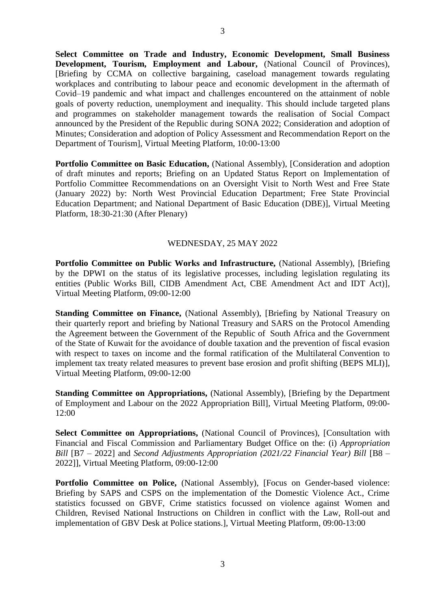**Select Committee on Trade and Industry, Economic Development, Small Business Development, Tourism, Employment and Labour,** (National Council of Provinces), [Briefing by CCMA on collective bargaining, caseload management towards regulating workplaces and contributing to labour peace and economic development in the aftermath of Covid–19 pandemic and what impact and challenges encountered on the attainment of noble goals of poverty reduction, unemployment and inequality. This should include targeted plans and programmes on stakeholder management towards the realisation of Social Compact announced by the President of the Republic during SONA 2022; Consideration and adoption of Minutes; Consideration and adoption of Policy Assessment and Recommendation Report on the Department of Tourism], Virtual Meeting Platform, 10:00-13:00

**Portfolio Committee on Basic Education, (National Assembly), [Consideration and adoption** of draft minutes and reports; Briefing on an Updated Status Report on Implementation of Portfolio Committee Recommendations on an Oversight Visit to North West and Free State (January 2022) by: North West Provincial Education Department; Free State Provincial Education Department; and National Department of Basic Education (DBE)], Virtual Meeting Platform, 18:30-21:30 (After Plenary)

#### WEDNESDAY, 25 MAY 2022

Portfolio Committee on Public Works and Infrastructure, (National Assembly), [Briefing by the DPWI on the status of its legislative processes, including legislation regulating its entities (Public Works Bill, CIDB Amendment Act, CBE Amendment Act and IDT Act)], Virtual Meeting Platform, 09:00-12:00

**Standing Committee on Finance, (National Assembly), [Briefing by National Treasury on** their quarterly report and briefing by National Treasury and SARS on the Protocol Amending the Agreement between the Government of the Republic of South Africa and the Government of the State of Kuwait for the avoidance of double taxation and the prevention of fiscal evasion with respect to taxes on income and the formal ratification of the Multilateral Convention to implement tax treaty related measures to prevent base erosion and profit shifting (BEPS MLI)], Virtual Meeting Platform, 09:00-12:00

**Standing Committee on Appropriations,** (National Assembly), [Briefing by the Department of Employment and Labour on the 2022 Appropriation Bill], Virtual Meeting Platform, 09:00- 12:00

Select Committee on Appropriations, (National Council of Provinces), [Consultation with Financial and Fiscal Commission and Parliamentary Budget Office on the: (i) *Appropriation Bill* [B7 – 2022] and *Second Adjustments Appropriation (2021/22 Financial Year) Bill* [B8 – 2022]], Virtual Meeting Platform, 09:00-12:00

Portfolio Committee on Police, (National Assembly), [Focus on Gender-based violence: Briefing by SAPS and CSPS on the implementation of the Domestic Violence Act., Crime statistics focussed on GBVF, Crime statistics focussed on violence against Women and Children, Revised National Instructions on Children in conflict with the Law, Roll-out and implementation of GBV Desk at Police stations.], Virtual Meeting Platform, 09:00-13:00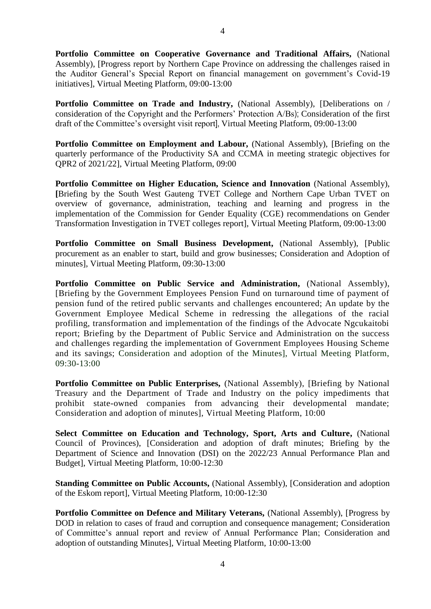**Portfolio Committee on Cooperative Governance and Traditional Affairs,** (National Assembly), [Progress report by Northern Cape Province on addressing the challenges raised in the Auditor General's Special Report on financial management on government's Covid-19 initiatives], Virtual Meeting Platform, 09:00-13:00

**Portfolio Committee on Trade and Industry,** (National Assembly), [Deliberations on / consideration of the Copyright and the Performers' Protection A/Bs); Consideration of the first draft of the Committee's oversight visit report], Virtual Meeting Platform, 09:00-13:00

Portfolio Committee on Employment and Labour, (National Assembly), [Briefing on the quarterly performance of the Productivity SA and CCMA in meeting strategic objectives for QPR2 of 2021/22], Virtual Meeting Platform, 09:00

**Portfolio Committee on Higher Education, Science and Innovation** (National Assembly), **[**Briefing by the South West Gauteng TVET College and Northern Cape Urban TVET on overview of governance, administration, teaching and learning and progress in the implementation of the Commission for Gender Equality (CGE) recommendations on Gender Transformation Investigation in TVET colleges report], Virtual Meeting Platform, 09:00-13:00

**Portfolio Committee on Small Business Development,** (National Assembly), [Public procurement as an enabler to start, build and grow businesses; Consideration and Adoption of minutes], Virtual Meeting Platform, 09:30-13:00

**Portfolio Committee on Public Service and Administration,** (National Assembly), [Briefing by the Government Employees Pension Fund on turnaround time of payment of pension fund of the retired public servants and challenges encountered; An update by the Government Employee Medical Scheme in redressing the allegations of the racial profiling, transformation and implementation of the findings of the Advocate Ngcukaitobi report; Briefing by the Department of Public Service and Administration on the success and challenges regarding the implementation of Government Employees Housing Scheme and its savings; Consideration and adoption of the Minutes], Virtual Meeting Platform, 09:30-13:00

**Portfolio Committee on Public Enterprises,** (National Assembly), [Briefing by National Treasury and the Department of Trade and Industry on the policy impediments that prohibit state-owned companies from advancing their developmental mandate; Consideration and adoption of minutes], Virtual Meeting Platform, 10:00

**Select Committee on Education and Technology, Sport, Arts and Culture,** (National Council of Provinces), [Consideration and adoption of draft minutes; Briefing by the Department of Science and Innovation (DSI) on the 2022/23 Annual Performance Plan and Budget], Virtual Meeting Platform, 10:00-12:30

**Standing Committee on Public Accounts,** (National Assembly), [Consideration and adoption of the Eskom report], Virtual Meeting Platform, 10:00-12:30

**Portfolio Committee on Defence and Military Veterans, (National Assembly), [Progress by** DOD in relation to cases of fraud and corruption and consequence management; Consideration of Committee's annual report and review of Annual Performance Plan; Consideration and adoption of outstanding Minutes], Virtual Meeting Platform, 10:00-13:00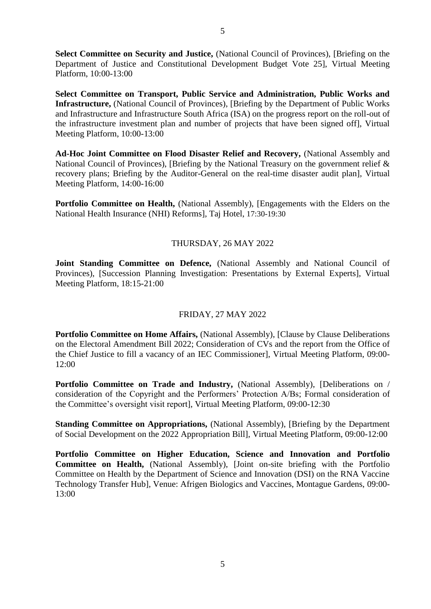**Select Committee on Security and Justice,** (National Council of Provinces), [Briefing on the Department of Justice and Constitutional Development Budget Vote 25], Virtual Meeting Platform, 10:00-13:00

**Select Committee on Transport, Public Service and Administration, Public Works and Infrastructure,** (National Council of Provinces), [Briefing by the Department of Public Works and Infrastructure and Infrastructure South Africa (ISA) on the progress report on the roll-out of the infrastructure investment plan and number of projects that have been signed off], Virtual Meeting Platform, 10:00-13:00

**Ad-Hoc Joint Committee on Flood Disaster Relief and Recovery,** (National Assembly and National Council of Provinces), [Briefing by the National Treasury on the government relief & recovery plans; Briefing by the Auditor-General on the real-time disaster audit plan], Virtual Meeting Platform, 14:00-16:00

**Portfolio Committee on Health,** (National Assembly), [Engagements with the Elders on the National Health Insurance (NHI) Reforms], Taj Hotel, 17:30-19:30

#### THURSDAY, 26 MAY 2022

**Joint Standing Committee on Defence,** (National Assembly and National Council of Provinces), [Succession Planning Investigation: Presentations by External Experts], Virtual Meeting Platform, 18:15-21:00

#### FRIDAY, 27 MAY 2022

**Portfolio Committee on Home Affairs,** (National Assembly), [Clause by Clause Deliberations on the Electoral Amendment Bill 2022; Consideration of CVs and the report from the Office of the Chief Justice to fill a vacancy of an IEC Commissioner], Virtual Meeting Platform, 09:00- 12:00

**Portfolio Committee on Trade and Industry,** (National Assembly), [Deliberations on / consideration of the Copyright and the Performers' Protection A/Bs; Formal consideration of the Committee's oversight visit report], Virtual Meeting Platform, 09:00-12:30

**Standing Committee on Appropriations, (National Assembly), [Briefing by the Department** of Social Development on the 2022 Appropriation Bill], Virtual Meeting Platform, 09:00-12:00

**Portfolio Committee on Higher Education, Science and Innovation and Portfolio Committee on Health,** (National Assembly), [Joint on-site briefing with the Portfolio Committee on Health by the Department of Science and Innovation (DSI) on the RNA Vaccine Technology Transfer Hub], Venue: Afrigen Biologics and Vaccines, Montague Gardens, 09:00- 13:00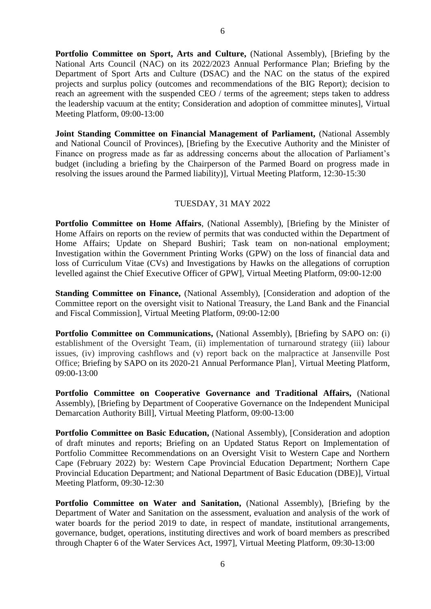**Portfolio Committee on Sport, Arts and Culture,** (National Assembly), [Briefing by the National Arts Council (NAC) on its 2022/2023 Annual Performance Plan; Briefing by the Department of Sport Arts and Culture (DSAC) and the NAC on the status of the expired projects and surplus policy (outcomes and recommendations of the BIG Report); decision to reach an agreement with the suspended CEO / terms of the agreement; steps taken to address the leadership vacuum at the entity; Consideration and adoption of committee minutes], Virtual Meeting Platform, 09:00-13:00

**Joint Standing Committee on Financial Management of Parliament,** (National Assembly and National Council of Provinces), [Briefing by the Executive Authority and the Minister of Finance on progress made as far as addressing concerns about the allocation of Parliament's budget (including a briefing by the Chairperson of the Parmed Board on progress made in resolving the issues around the Parmed liability)], Virtual Meeting Platform, 12:30-15:30

#### TUESDAY, 31 MAY 2022

**Portfolio Committee on Home Affairs, (National Assembly), [Briefing by the Minister of** Home Affairs on reports on the review of permits that was conducted within the Department of Home Affairs; Update on Shepard Bushiri; Task team on non-national employment; Investigation within the Government Printing Works (GPW) on the loss of financial data and loss of Curriculum Vitae (CVs) and Investigations by Hawks on the allegations of corruption levelled against the Chief Executive Officer of GPW], Virtual Meeting Platform, 09:00-12:00

**Standing Committee on Finance, (National Assembly), [Consideration and adoption of the** Committee report on the oversight visit to National Treasury, the Land Bank and the Financial and Fiscal Commission], Virtual Meeting Platform, 09:00-12:00

**Portfolio Committee on Communications, (National Assembly), [Briefing by SAPO on: (i)** establishment of the Oversight Team, (ii) implementation of turnaround strategy (iii) labour issues, (iv) improving cashflows and (v) report back on the malpractice at Jansenville Post Office; Briefing by SAPO on its 2020-21 Annual Performance Plan], Virtual Meeting Platform, 09:00-13:00

**Portfolio Committee on Cooperative Governance and Traditional Affairs,** (National Assembly), [Briefing by Department of Cooperative Governance on the Independent Municipal Demarcation Authority Bill], Virtual Meeting Platform, 09:00-13:00

**Portfolio Committee on Basic Education, (National Assembly), [Consideration and adoption** of draft minutes and reports; Briefing on an Updated Status Report on Implementation of Portfolio Committee Recommendations on an Oversight Visit to Western Cape and Northern Cape (February 2022) by: Western Cape Provincial Education Department; Northern Cape Provincial Education Department; and National Department of Basic Education (DBE)], Virtual Meeting Platform, 09:30-12:30

**Portfolio Committee on Water and Sanitation,** (National Assembly), [Briefing by the Department of Water and Sanitation on the assessment, evaluation and analysis of the work of water boards for the period 2019 to date, in respect of mandate, institutional arrangements, governance, budget, operations, instituting directives and work of board members as prescribed through Chapter 6 of the Water Services Act, 1997], Virtual Meeting Platform, 09:30-13:00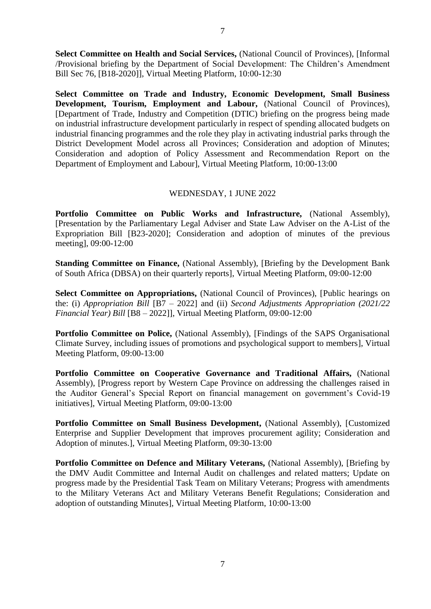**Select Committee on Health and Social Services,** (National Council of Provinces), [Informal /Provisional briefing by the Department of Social Development: The Children's Amendment Bill Sec 76, [B18-2020]], Virtual Meeting Platform, 10:00-12:30

**Select Committee on Trade and Industry, Economic Development, Small Business Development, Tourism, Employment and Labour,** (National Council of Provinces), [Department of Trade, Industry and Competition (DTIC) briefing on the progress being made on industrial infrastructure development particularly in respect of spending allocated budgets on industrial financing programmes and the role they play in activating industrial parks through the District Development Model across all Provinces; Consideration and adoption of Minutes; Consideration and adoption of Policy Assessment and Recommendation Report on the Department of Employment and Labour], Virtual Meeting Platform, 10:00-13:00

#### WEDNESDAY, 1 JUNE 2022

**Portfolio Committee on Public Works and Infrastructure,** (National Assembly), [Presentation by the Parliamentary Legal Adviser and State Law Adviser on the A-List of the Expropriation Bill [B23-2020]; Consideration and adoption of minutes of the previous meeting], 09:00-12:00

**Standing Committee on Finance,** (National Assembly), [Briefing by the Development Bank of South Africa (DBSA) on their quarterly reports], Virtual Meeting Platform, 09:00-12:00

Select Committee on Appropriations, (National Council of Provinces), [Public hearings on the: (i) *Appropriation Bill* [B7 – 2022] and (ii) *Second Adjustments Appropriation (2021/22 Financial Year) Bill* [B8 – 2022]], Virtual Meeting Platform, 09:00-12:00

**Portfolio Committee on Police,** (National Assembly), [Findings of the SAPS Organisational Climate Survey, including issues of promotions and psychological support to members], Virtual Meeting Platform, 09:00-13:00

**Portfolio Committee on Cooperative Governance and Traditional Affairs,** (National Assembly), [Progress report by Western Cape Province on addressing the challenges raised in the Auditor General's Special Report on financial management on government's Covid-19 initiatives], Virtual Meeting Platform, 09:00-13:00

Portfolio Committee on Small Business Development, (National Assembly), [Customized Enterprise and Supplier Development that improves procurement agility; Consideration and Adoption of minutes.], Virtual Meeting Platform, 09:30-13:00

Portfolio Committee on Defence and Military Veterans, (National Assembly), [Briefing by the DMV Audit Committee and Internal Audit on challenges and related matters; Update on progress made by the Presidential Task Team on Military Veterans; Progress with amendments to the Military Veterans Act and Military Veterans Benefit Regulations; Consideration and adoption of outstanding Minutes], Virtual Meeting Platform, 10:00-13:00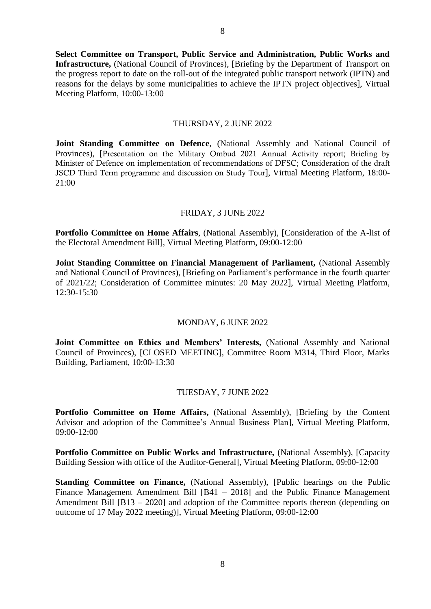**Select Committee on Transport, Public Service and Administration, Public Works and Infrastructure,** (National Council of Provinces), [Briefing by the Department of Transport on the progress report to date on the roll-out of the integrated public transport network (IPTN) and reasons for the delays by some municipalities to achieve the IPTN project objectives], Virtual Meeting Platform, 10:00-13:00

#### THURSDAY, 2 JUNE 2022

**Joint Standing Committee on Defence**, (National Assembly and National Council of Provinces), [Presentation on the Military Ombud 2021 Annual Activity report; Briefing by Minister of Defence on implementation of recommendations of DFSC; Consideration of the draft JSCD Third Term programme and discussion on Study Tour], Virtual Meeting Platform, 18:00- 21:00

#### FRIDAY, 3 JUNE 2022

**Portfolio Committee on Home Affairs**, (National Assembly), [Consideration of the A-list of the Electoral Amendment Bill], Virtual Meeting Platform, 09:00-12:00

**Joint Standing Committee on Financial Management of Parliament,** (National Assembly and National Council of Provinces), [Briefing on Parliament's performance in the fourth quarter of 2021/22; Consideration of Committee minutes: 20 May 2022], Virtual Meeting Platform, 12:30-15:30

#### MONDAY, 6 JUNE 2022

**Joint Committee on Ethics and Members' Interests,** (National Assembly and National Council of Provinces), [CLOSED MEETING], Committee Room M314, Third Floor, Marks Building, Parliament, 10:00-13:30

#### TUESDAY, 7 JUNE 2022

**Portfolio Committee on Home Affairs,** (National Assembly), [Briefing by the Content Advisor and adoption of the Committee's Annual Business Plan], Virtual Meeting Platform, 09:00-12:00

**Portfolio Committee on Public Works and Infrastructure, (National Assembly), [Capacity** Building Session with office of the Auditor-General], Virtual Meeting Platform, 09:00-12:00

**Standing Committee on Finance,** (National Assembly), [Public hearings on the Public Finance Management Amendment Bill [B41 – 2018] and the Public Finance Management Amendment Bill [B13 – 2020] and adoption of the Committee reports thereon (depending on outcome of 17 May 2022 meeting)], Virtual Meeting Platform, 09:00-12:00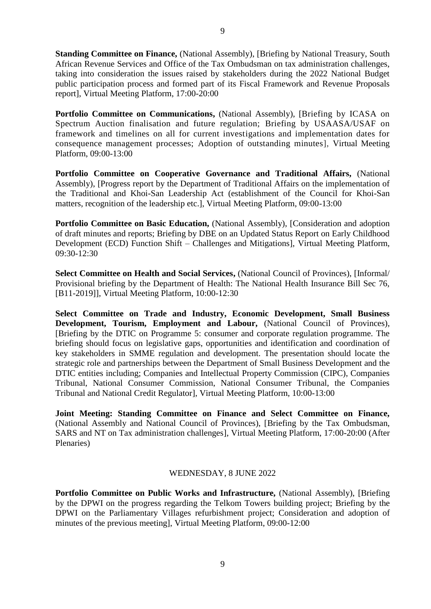**Standing Committee on Finance, (National Assembly), [Briefing by National Treasury, South** African Revenue Services and Office of the Tax Ombudsman on tax administration challenges, taking into consideration the issues raised by stakeholders during the 2022 National Budget public participation process and formed part of its Fiscal Framework and Revenue Proposals report], Virtual Meeting Platform, 17:00-20:00

**Portfolio Committee on Communications,** (National Assembly), [Briefing by ICASA on Spectrum Auction finalisation and future regulation; Briefing by USAASA/USAF on framework and timelines on all for current investigations and implementation dates for consequence management processes; Adoption of outstanding minutes], Virtual Meeting Platform, 09:00-13:00

**Portfolio Committee on Cooperative Governance and Traditional Affairs,** (National Assembly), [Progress report by the Department of Traditional Affairs on the implementation of the Traditional and Khoi-San Leadership Act (establishment of the Council for Khoi-San matters, recognition of the leadership etc.], Virtual Meeting Platform, 09:00-13:00

**Portfolio Committee on Basic Education, (National Assembly), [Consideration and adoption** of draft minutes and reports; Briefing by DBE on an Updated Status Report on Early Childhood Development (ECD) Function Shift – Challenges and Mitigations], Virtual Meeting Platform, 09:30-12:30

**Select Committee on Health and Social Services,** (National Council of Provinces), [Informal/ Provisional briefing by the Department of Health: The National Health Insurance Bill Sec 76, [B11-2019]], Virtual Meeting Platform, 10:00-12:30

**Select Committee on Trade and Industry, Economic Development, Small Business Development, Tourism, Employment and Labour,** (National Council of Provinces), [Briefing by the DTIC on Programme 5: consumer and corporate regulation programme. The briefing should focus on legislative gaps, opportunities and identification and coordination of key stakeholders in SMME regulation and development. The presentation should locate the strategic role and partnerships between the Department of Small Business Development and the DTIC entities including; Companies and Intellectual Property Commission (CIPC), Companies Tribunal, National Consumer Commission, National Consumer Tribunal, the Companies Tribunal and National Credit Regulator], Virtual Meeting Platform, 10:00-13:00

**Joint Meeting: Standing Committee on Finance and Select Committee on Finance,**  (National Assembly and National Council of Provinces), [Briefing by the Tax Ombudsman, SARS and NT on Tax administration challenges], Virtual Meeting Platform, 17:00-20:00 (After Plenaries)

#### WEDNESDAY, 8 JUNE 2022

**Portfolio Committee on Public Works and Infrastructure, (National Assembly), [Briefing** by the DPWI on the progress regarding the Telkom Towers building project; Briefing by the DPWI on the Parliamentary Villages refurbishment project; Consideration and adoption of minutes of the previous meeting], Virtual Meeting Platform, 09:00-12:00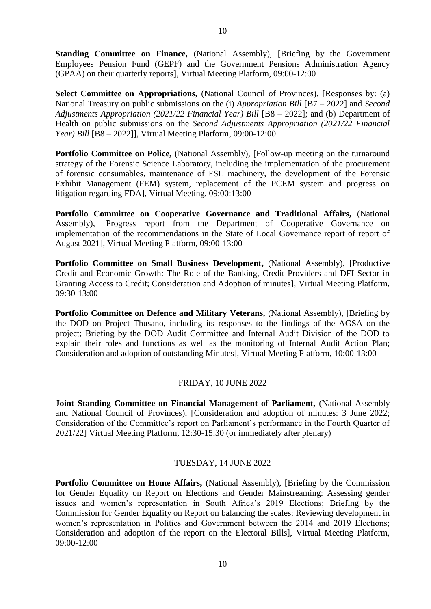**Standing Committee on Finance,** (National Assembly), [Briefing by the Government Employees Pension Fund (GEPF) and the Government Pensions Administration Agency (GPAA) on their quarterly reports], Virtual Meeting Platform, 09:00-12:00

**Select Committee on Appropriations,** (National Council of Provinces), [Responses by: (a) National Treasury on public submissions on the (i) *Appropriation Bill* [B7 – 2022] and *Second Adjustments Appropriation (2021/22 Financial Year) Bill* [B8 – 2022]; and (b) Department of Health on public submissions on the *Second Adjustments Appropriation (2021/22 Financial Year) Bill* [B8 – 2022]], Virtual Meeting Platform, 09:00-12:00

**Portfolio Committee on Police,** (National Assembly), [Follow-up meeting on the turnaround strategy of the Forensic Science Laboratory, including the implementation of the procurement of forensic consumables, maintenance of FSL machinery, the development of the Forensic Exhibit Management (FEM) system, replacement of the PCEM system and progress on litigation regarding FDA], Virtual Meeting, 09:00:13:00

**Portfolio Committee on Cooperative Governance and Traditional Affairs,** (National Assembly), [Progress report from the Department of Cooperative Governance on implementation of the recommendations in the State of Local Governance report of report of August 2021], Virtual Meeting Platform, 09:00-13:00

Portfolio Committee on Small Business Development, (National Assembly), [Productive Credit and Economic Growth: The Role of the Banking, Credit Providers and DFI Sector in Granting Access to Credit; Consideration and Adoption of minutes], Virtual Meeting Platform, 09:30-13:00

Portfolio Committee on Defence and Military Veterans, (National Assembly), [Briefing by the DOD on Project Thusano, including its responses to the findings of the AGSA on the project; Briefing by the DOD Audit Committee and Internal Audit Division of the DOD to explain their roles and functions as well as the monitoring of Internal Audit Action Plan; Consideration and adoption of outstanding Minutes], Virtual Meeting Platform, 10:00-13:00

#### FRIDAY, 10 JUNE 2022

**Joint Standing Committee on Financial Management of Parliament,** (National Assembly and National Council of Provinces), [Consideration and adoption of minutes: 3 June 2022; Consideration of the Committee's report on Parliament's performance in the Fourth Quarter of 2021/22] Virtual Meeting Platform, 12:30-15:30 (or immediately after plenary)

#### TUESDAY, 14 JUNE 2022

**Portfolio Committee on Home Affairs,** (National Assembly), [Briefing by the Commission for Gender Equality on Report on Elections and Gender Mainstreaming: Assessing gender issues and women's representation in South Africa's 2019 Elections; Briefing by the Commission for Gender Equality on Report on balancing the scales: Reviewing development in women's representation in Politics and Government between the 2014 and 2019 Elections; Consideration and adoption of the report on the Electoral Bills], Virtual Meeting Platform, 09:00-12:00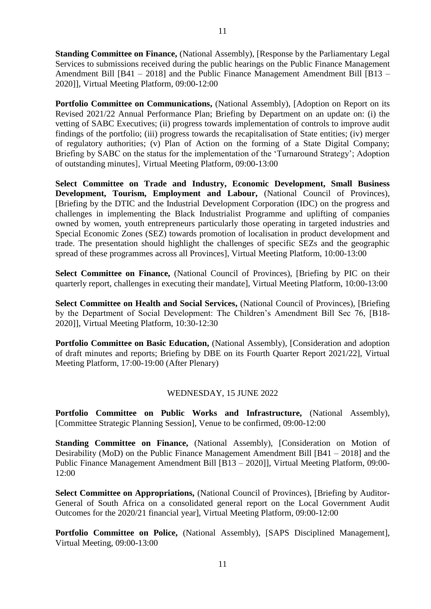**Standing Committee on Finance,** (National Assembly), [Response by the Parliamentary Legal Services to submissions received during the public hearings on the Public Finance Management Amendment Bill [B41 – 2018] and the Public Finance Management Amendment Bill [B13 – 2020]], Virtual Meeting Platform, 09:00-12:00

Portfolio Committee on Communications, (National Assembly), [Adoption on Report on its Revised 2021/22 Annual Performance Plan; Briefing by Department on an update on: (i) the vetting of SABC Executives; (ii) progress towards implementation of controls to improve audit findings of the portfolio; (iii) progress towards the recapitalisation of State entities; (iv) merger of regulatory authorities; (v) Plan of Action on the forming of a State Digital Company; Briefing by SABC on the status for the implementation of the 'Turnaround Strategy'; Adoption of outstanding minutes], Virtual Meeting Platform, 09:00-13:00

**Select Committee on Trade and Industry, Economic Development, Small Business Development, Tourism, Employment and Labour,** (National Council of Provinces), [Briefing by the DTIC and the Industrial Development Corporation (IDC) on the progress and challenges in implementing the Black Industrialist Programme and uplifting of companies owned by women, youth entrepreneurs particularly those operating in targeted industries and Special Economic Zones (SEZ) towards promotion of localisation in product development and trade. The presentation should highlight the challenges of specific SEZs and the geographic spread of these programmes across all Provinces], Virtual Meeting Platform, 10:00-13:00

**Select Committee on Finance,** (National Council of Provinces), [Briefing by PIC on their quarterly report, challenges in executing their mandate], Virtual Meeting Platform, 10:00-13:00

**Select Committee on Health and Social Services,** (National Council of Provinces), [Briefing by the Department of Social Development: The Children's Amendment Bill Sec 76, [B18- 2020]], Virtual Meeting Platform, 10:30-12:30

**Portfolio Committee on Basic Education, (National Assembly), [Consideration and adoption** of draft minutes and reports; Briefing by DBE on its Fourth Quarter Report 2021/22], Virtual Meeting Platform, 17:00-19:00 (After Plenary)

#### WEDNESDAY, 15 JUNE 2022

**Portfolio Committee on Public Works and Infrastructure,** (National Assembly), [Committee Strategic Planning Session], Venue to be confirmed, 09:00-12:00

**Standing Committee on Finance,** (National Assembly), [Consideration on Motion of Desirability (MoD) on the Public Finance Management Amendment Bill [B41 – 2018] and the Public Finance Management Amendment Bill [B13 – 2020]], Virtual Meeting Platform, 09:00- 12:00

**Select Committee on Appropriations,** (National Council of Provinces), [Briefing by Auditor-General of South Africa on a consolidated general report on the Local Government Audit Outcomes for the 2020/21 financial year], Virtual Meeting Platform, 09:00-12:00

**Portfolio Committee on Police,** (National Assembly), [SAPS Disciplined Management], Virtual Meeting, 09:00-13:00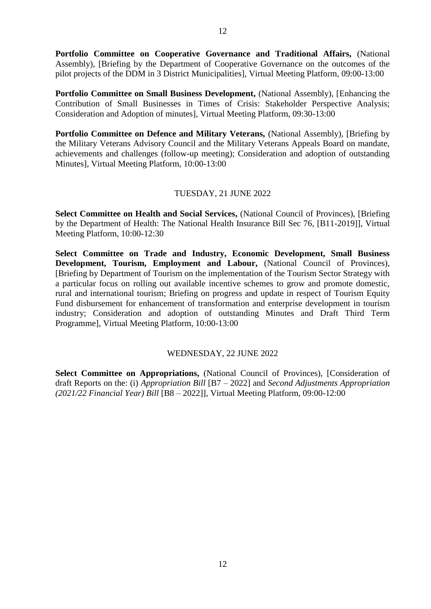**Portfolio Committee on Cooperative Governance and Traditional Affairs,** (National Assembly), [Briefing by the Department of Cooperative Governance on the outcomes of the pilot projects of the DDM in 3 District Municipalities], Virtual Meeting Platform, 09:00-13:00

**Portfolio Committee on Small Business Development, (National Assembly), [Enhancing the** Contribution of Small Businesses in Times of Crisis: Stakeholder Perspective Analysis; Consideration and Adoption of minutes], Virtual Meeting Platform, 09:30-13:00

Portfolio Committee on Defence and Military Veterans, (National Assembly), [Briefing by the Military Veterans Advisory Council and the Military Veterans Appeals Board on mandate, achievements and challenges (follow-up meeting); Consideration and adoption of outstanding Minutes], Virtual Meeting Platform, 10:00-13:00

#### TUESDAY, 21 JUNE 2022

**Select Committee on Health and Social Services,** (National Council of Provinces), [Briefing by the Department of Health: The National Health Insurance Bill Sec 76, [B11-2019]], Virtual Meeting Platform, 10:00-12:30

**Select Committee on Trade and Industry, Economic Development, Small Business Development, Tourism, Employment and Labour,** (National Council of Provinces), [Briefing by Department of Tourism on the implementation of the Tourism Sector Strategy with a particular focus on rolling out available incentive schemes to grow and promote domestic, rural and international tourism; Briefing on progress and update in respect of Tourism Equity Fund disbursement for enhancement of transformation and enterprise development in tourism industry; Consideration and adoption of outstanding Minutes and Draft Third Term Programme], Virtual Meeting Platform, 10:00-13:00

#### WEDNESDAY, 22 JUNE 2022

**Select Committee on Appropriations,** (National Council of Provinces), [Consideration of draft Reports on the: (i) *Appropriation Bill* [B7 – 2022] and *Second Adjustments Appropriation (2021/22 Financial Year) Bill* [B8 – 2022]], Virtual Meeting Platform, 09:00-12:00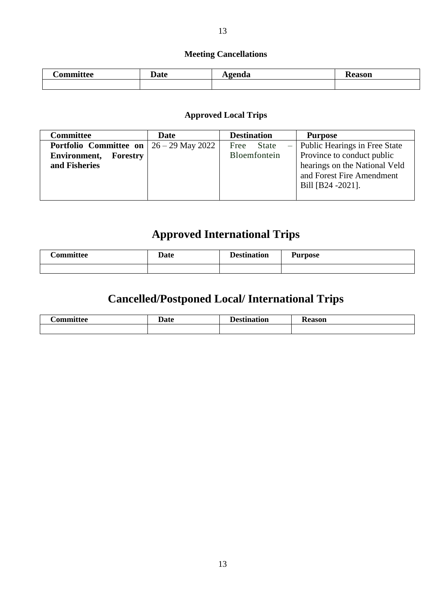### **Meeting Cancellations**

| -<br><b>Committee</b> | Jate | genda<br>$\overline{1}$ $\overline{2}$ | <b>Reason</b> |
|-----------------------|------|----------------------------------------|---------------|
|                       |      |                                        |               |

#### **Approved Local Trips**

| <b>Committee</b>                                       | Date | <b>Destination</b> | <b>Purpose</b>                    |
|--------------------------------------------------------|------|--------------------|-----------------------------------|
| <b>Portfolio</b> Committee on $\vert 26 - 29$ May 2022 |      | Free<br>State      | $-$ Public Hearings in Free State |
| <b>Environment, Forestry</b>                           |      | Bloemfontein       | Province to conduct public        |
| and Fisheries                                          |      |                    | hearings on the National Veld     |
|                                                        |      |                    | and Forest Fire Amendment         |
|                                                        |      |                    | Bill [B24 -2021].                 |
|                                                        |      |                    |                                   |

# **Approved International Trips**

| 'ommittee | <b>Date</b> | <b>Destination</b> | <b>Purpose</b> |
|-----------|-------------|--------------------|----------------|
|           |             |                    |                |

# **Cancelled/Postponed Local/ International Trips**

| $\sim$<br>$\mathbf{a}$ and $\mathbf{b}$ | 5.4.2<br>. .<br>au | l Loetir<br>---<br>чоь | $\alpha$<br>''SOL. |
|-----------------------------------------|--------------------|------------------------|--------------------|
|                                         |                    |                        |                    |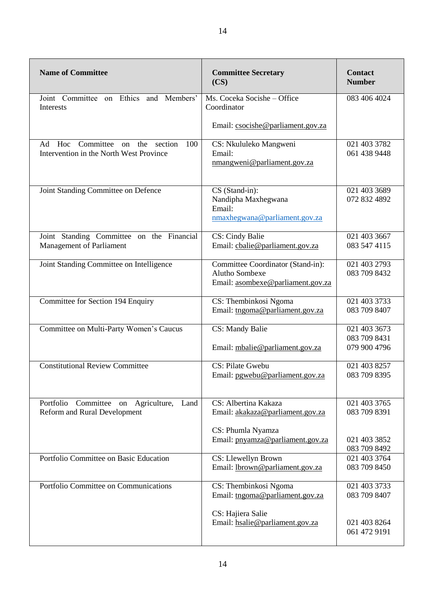| <b>Name of Committee</b>                                                           | <b>Committee Secretary</b><br>(CS)                                                                                                     | <b>Contact</b><br><b>Number</b>                              |
|------------------------------------------------------------------------------------|----------------------------------------------------------------------------------------------------------------------------------------|--------------------------------------------------------------|
| Joint Committee on Ethics and Members'<br>Interests                                | Ms. Coceka Socishe - Office<br>Coordinator                                                                                             | 083 406 4024                                                 |
|                                                                                    | Email: csocishe@parliament.gov.za                                                                                                      |                                                              |
| Ad Hoc Committee on the section<br>100<br>Intervention in the North West Province  | CS: Nkululeko Mangweni<br>Email:<br>nmangweni@parliament.gov.za                                                                        | 021 403 3782<br>061 438 9448                                 |
| Joint Standing Committee on Defence                                                | CS (Stand-in):<br>Nandipha Maxhegwana<br>Email:<br>nmaxhegwana@parliament.gov.za                                                       | 021 403 3689<br>072 832 4892                                 |
| Joint Standing Committee on the Financial<br>Management of Parliament              | CS: Cindy Balie<br>Email: cbalie@parliament.gov.za                                                                                     | 021 403 3667<br>083 547 4115                                 |
| Joint Standing Committee on Intelligence                                           | Committee Coordinator (Stand-in):<br>Alutho Sombexe<br>Email: asombexe@parliament.gov.za                                               | 021 403 2793<br>083 709 8432                                 |
| Committee for Section 194 Enquiry                                                  | CS: Thembinkosi Ngoma<br>Email: tngoma@parliament.gov.za                                                                               | 021 403 3733<br>083 709 8407                                 |
| Committee on Multi-Party Women's Caucus                                            | <b>CS: Mandy Balie</b><br>Email: mbalie@parliament.gov.za                                                                              | 021 403 3673<br>083 709 8431<br>079 900 4796                 |
| <b>Constitutional Review Committee</b>                                             | CS: Pilate Gwebu<br>Email: pgwebu@parliament.gov.za                                                                                    | 021 403 8257<br>083 709 8395                                 |
| Portfolio<br>Committee on Agriculture, Land<br><b>Reform and Rural Development</b> | $\overline{\text{CS}}$ : Albertina Kakaza<br>Email: akakaza@parliament.gov.za<br>CS: Phumla Nyamza<br>Email: pnyamza@parliament.gov.za | 021 403 3765<br>083 709 8391<br>021 403 3852<br>083 709 8492 |
| Portfolio Committee on Basic Education                                             | CS: Llewellyn Brown<br>Email: lbrown@parliament.gov.za                                                                                 | 021 403 3764<br>083 709 8450                                 |
| Portfolio Committee on Communications                                              | CS: Thembinkosi Ngoma<br>Email: tngoma@parliament.gov.za<br>CS: Hajiera Salie<br>Email: hsalie@parliament.gov.za                       | 021 403 3733<br>083 709 8407<br>021 403 8264                 |
|                                                                                    |                                                                                                                                        | 061 472 9191                                                 |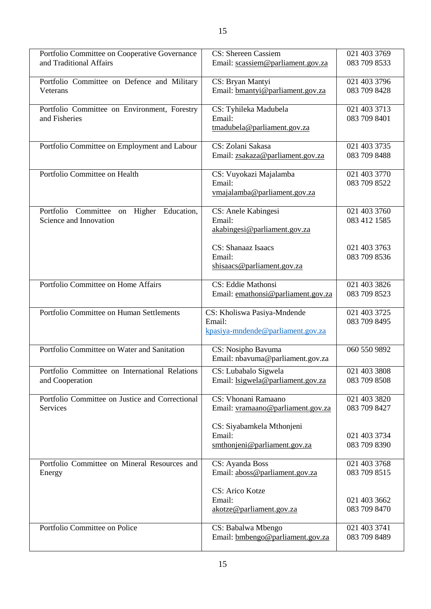| Portfolio Committee on Cooperative Governance                                  | CS: Shereen Cassiem                                      | 021 403 3769                 |
|--------------------------------------------------------------------------------|----------------------------------------------------------|------------------------------|
| and Traditional Affairs                                                        | Email: scassiem@parliament.gov.za                        | 083 709 8533                 |
| Portfolio Committee on Defence and Military                                    | CS: Bryan Mantyi                                         | 021 403 3796                 |
| Veterans                                                                       | Email: bmantyi@parliament.gov.za                         | 083 709 8428                 |
| Portfolio Committee on Environment, Forestry                                   | CS: Tyhileka Madubela                                    | 021 403 3713                 |
| and Fisheries                                                                  | Email:<br>tmadubela@parliament.gov.za                    | 083 709 8401                 |
|                                                                                |                                                          |                              |
| Portfolio Committee on Employment and Labour                                   | CS: Zolani Sakasa                                        | 021 403 3735                 |
|                                                                                | Email: zsakaza@parliament.gov.za                         | 083 709 8488                 |
| Portfolio Committee on Health                                                  | CS: Vuyokazi Majalamba                                   | 021 403 3770                 |
|                                                                                | Email:<br>vmajalamba@parliament.gov.za                   | 083 709 8522                 |
|                                                                                |                                                          |                              |
| Committee<br>Portfolio<br>Education,<br>Higher<br>on<br>Science and Innovation | CS: Anele Kabingesi<br>Email:                            | 021 403 3760<br>083 412 1585 |
|                                                                                | akabingesi@parliament.gov.za                             |                              |
|                                                                                |                                                          |                              |
|                                                                                | CS: Shanaaz Isaacs<br>Email:                             | 021 403 3763<br>083 709 8536 |
|                                                                                | shisaacs@parliament.gov.za                               |                              |
|                                                                                |                                                          |                              |
| Portfolio Committee on Home Affairs                                            | CS: Eddie Mathonsi<br>Email: emathonsi@parliament.gov.za | 021 403 3826<br>083 709 8523 |
|                                                                                |                                                          |                              |
| Portfolio Committee on Human Settlements                                       | CS: Kholiswa Pasiya-Mndende                              | 021 403 3725                 |
|                                                                                |                                                          |                              |
|                                                                                | Email:                                                   | 083 709 8495                 |
|                                                                                | kpasiya-mndende@parliament.gov.za                        |                              |
| Portfolio Committee on Water and Sanitation                                    | CS: Nosipho Bavuma                                       | 060 550 9892                 |
|                                                                                | Email: nbavuma@parliament.gov.za                         |                              |
| Portfolio Committee on International Relations                                 | CS: Lubabalo Sigwela                                     | 021 403 3808<br>083 709 8508 |
| and Cooperation                                                                | Email: lsigwela@parliament.gov.za                        |                              |
| Portfolio Committee on Justice and Correctional                                | CS: Vhonani Ramaano                                      | 021 403 3820                 |
| Services                                                                       | Email: vramaano@parliament.gov.za                        | 083 709 8427                 |
|                                                                                | CS: Siyabamkela Mthonjeni                                |                              |
|                                                                                | Email:                                                   | 021 403 3734                 |
|                                                                                | smthonjeni@parliament.gov.za                             | 083 709 8390                 |
| Portfolio Committee on Mineral Resources and                                   | CS: Ayanda Boss                                          | 021 403 3768                 |
| Energy                                                                         | Email: aboss@parliament.gov.za                           | 083 709 8515                 |
|                                                                                | CS: Arico Kotze                                          |                              |
|                                                                                | Email:                                                   | 021 403 3662                 |
|                                                                                | akotze@parliament.gov.za                                 | 083 709 8470                 |
| Portfolio Committee on Police                                                  | CS: Babalwa Mbengo<br>Email: bmbengo@parliament.gov.za   | 021 403 3741<br>083 709 8489 |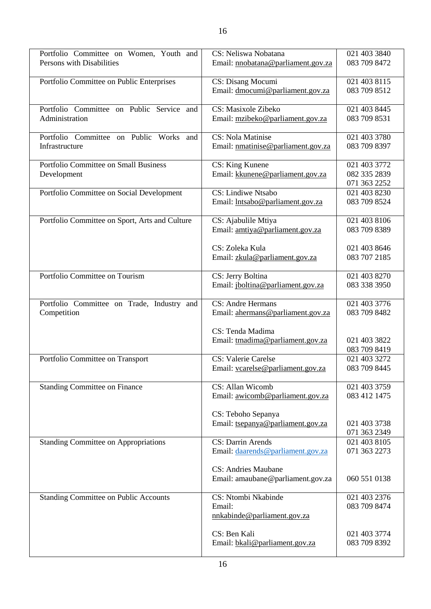| Portfolio Committee on Women, Youth and        | CS: Neliswa Nobatana                                  | 021 403 3840                 |
|------------------------------------------------|-------------------------------------------------------|------------------------------|
| Persons with Disabilities                      | Email: nnobatana@parliament.gov.za                    | 083 709 8472                 |
|                                                |                                                       |                              |
| Portfolio Committee on Public Enterprises      | CS: Disang Mocumi<br>Email: dmocumi@parliament.gov.za | 021 403 8115<br>083 709 8512 |
|                                                |                                                       |                              |
| Portfolio Committee on Public Service and      | CS: Masixole Zibeko                                   | 021 403 8445                 |
| Administration                                 | Email: mzibeko@parliament.gov.za                      | 083 709 8531                 |
| Portfolio Committee on Public Works and        | CS: Nola Matinise                                     | 021 403 3780                 |
| Infrastructure                                 | Email: nmatinise@parliament.gov.za                    | 083 709 8397                 |
|                                                |                                                       |                              |
| Portfolio Committee on Small Business          | CS: King Kunene                                       | 021 403 3772                 |
| Development                                    | Email: kkunene@parliament.gov.za                      | 082 335 2839                 |
| Portfolio Committee on Social Development      | CS: Lindiwe Ntsabo                                    | 071 363 2252<br>021 403 8230 |
|                                                | Email: lntsabo@parliament.gov.za                      | 083 709 8524                 |
|                                                |                                                       |                              |
| Portfolio Committee on Sport, Arts and Culture | CS: Ajabulile Mtiya                                   | 021 403 8106                 |
|                                                | Email: amtiya@parliament.gov.za                       | 083 709 8389                 |
|                                                | CS: Zoleka Kula                                       | 021 403 8646                 |
|                                                | Email: zkula@parliament.gov.za                        | 083 707 2185                 |
|                                                |                                                       |                              |
| Portfolio Committee on Tourism                 | CS: Jerry Boltina                                     | 021 403 8270                 |
|                                                | Email: jboltina@parliament.gov.za                     | 083 338 3950                 |
| Portfolio Committee on Trade, Industry and     | <b>CS: Andre Hermans</b>                              | 021 403 3776                 |
| Competition                                    | Email: ahermans@parliament.gov.za                     | 083 709 8482                 |
|                                                | CS: Tenda Madima                                      |                              |
|                                                | Email: tmadima@parliament.gov.za                      | 021 403 3822                 |
|                                                |                                                       | 083 709 8419                 |
| Portfolio Committee on Transport               | <b>CS: Valerie Carelse</b>                            | 021 403 3272                 |
|                                                | Email: vcarelse@parliament.gov.za                     | 083 709 8445                 |
| <b>Standing Committee on Finance</b>           | CS: Allan Wicomb                                      | 021 403 3759                 |
|                                                | Email: awicomb@parliament.gov.za                      | 083 412 1475                 |
|                                                |                                                       |                              |
|                                                | CS: Teboho Sepanya                                    |                              |
|                                                |                                                       |                              |
|                                                | Email: tsepanya@parliament.gov.za                     | 021 403 3738                 |
|                                                | <b>CS: Darrin Arends</b>                              | 071 363 2349<br>021 403 8105 |
| <b>Standing Committee on Appropriations</b>    | Email: daarends@parliament.gov.za                     | 071 363 2273                 |
|                                                |                                                       |                              |
|                                                | <b>CS: Andries Maubane</b>                            |                              |
|                                                | Email: amaubane@parliament.gov.za                     | 060 551 0138                 |
| <b>Standing Committee on Public Accounts</b>   | CS: Ntombi Nkabinde                                   | 021 403 2376                 |
|                                                | Email:                                                | 083 709 8474                 |
|                                                | nnkabinde@parliament.gov.za                           |                              |
|                                                |                                                       |                              |
|                                                | CS: Ben Kali<br>Email: bkali@parliament.gov.za        | 021 403 3774<br>083 709 8392 |